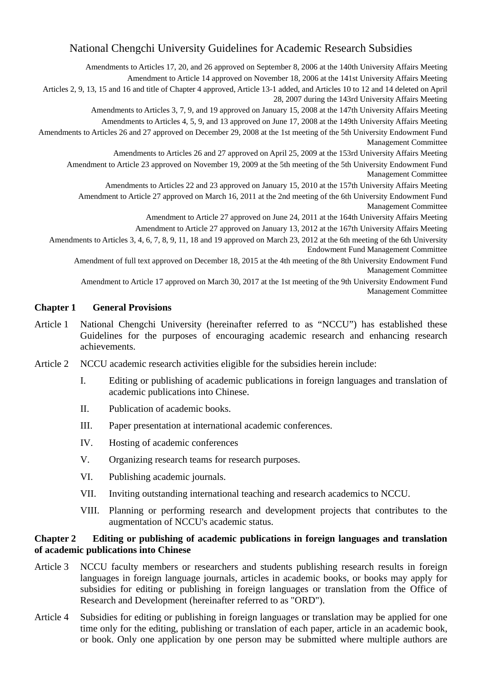# National Chengchi University Guidelines for Academic Research Subsidies

Amendments to Articles 17, 20, and 26 approved on September 8, 2006 at the 140th University Affairs Meeting Amendment to Article 14 approved on November 18, 2006 at the 141st University Affairs Meeting Articles 2, 9, 13, 15 and 16 and title of Chapter 4 approved, Article 13-1 added, and Articles 10 to 12 and 14 deleted on April 28, 2007 during the 143rd University Affairs Meeting Amendments to Articles 3, 7, 9, and 19 approved on January 15, 2008 at the 147th University Affairs Meeting Amendments to Articles 4, 5, 9, and 13 approved on June 17, 2008 at the 149th University Affairs Meeting Amendments to Articles 26 and 27 approved on December 29, 2008 at the 1st meeting of the 5th University Endowment Fund Management Committee Amendments to Articles 26 and 27 approved on April 25, 2009 at the 153rd University Affairs Meeting Amendment to Article 23 approved on November 19, 2009 at the 5th meeting of the 5th University Endowment Fund Management Committee Amendments to Articles 22 and 23 approved on January 15, 2010 at the 157th University Affairs Meeting Amendment to Article 27 approved on March 16, 2011 at the 2nd meeting of the 6th University Endowment Fund Management Committee Amendment to Article 27 approved on June 24, 2011 at the 164th University Affairs Meeting Amendment to Article 27 approved on January 13, 2012 at the 167th University Affairs Meeting Amendments to Articles 3, 4, 6, 7, 8, 9, 11, 18 and 19 approved on March 23, 2012 at the 6th meeting of the 6th University Endowment Fund Management Committee Amendment of full text approved on December 18, 2015 at the 4th meeting of the 8th University Endowment Fund Management Committee Amendment to Article 17 approved on March 30, 2017 at the 1st meeting of the 9th University Endowment Fund Management Committee **Chapter 1 General Provisions**  Article 1 National Chengchi University (hereinafter referred to as "NCCU") has established these

- Guidelines for the purposes of encouraging academic research and enhancing research achievements.
- Article 2 NCCU academic research activities eligible for the subsidies herein include:
	- I. Editing or publishing of academic publications in foreign languages and translation of academic publications into Chinese.
	- II. Publication of academic books.
	- III. Paper presentation at international academic conferences.
	- IV. Hosting of academic conferences
	- V. Organizing research teams for research purposes.
	- VI. Publishing academic journals.
	- VII. Inviting outstanding international teaching and research academics to NCCU.
	- VIII. Planning or performing research and development projects that contributes to the augmentation of NCCU's academic status.

## **Chapter 2 Editing or publishing of academic publications in foreign languages and translation of academic publications into Chinese**

- Article 3 NCCU faculty members or researchers and students publishing research results in foreign languages in foreign language journals, articles in academic books, or books may apply for subsidies for editing or publishing in foreign languages or translation from the Office of Research and Development (hereinafter referred to as "ORD").
- Article 4 Subsidies for editing or publishing in foreign languages or translation may be applied for one time only for the editing, publishing or translation of each paper, article in an academic book, or book. Only one application by one person may be submitted where multiple authors are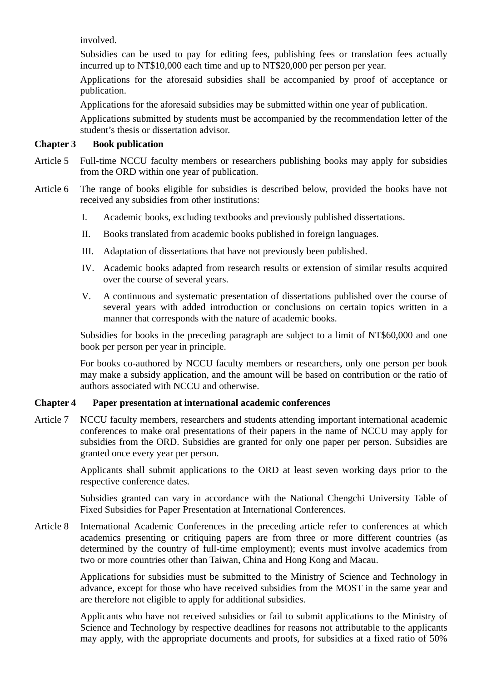involved.

Subsidies can be used to pay for editing fees, publishing fees or translation fees actually incurred up to NT\$10,000 each time and up to NT\$20,000 per person per year.

Applications for the aforesaid subsidies shall be accompanied by proof of acceptance or publication.

Applications for the aforesaid subsidies may be submitted within one year of publication.

Applications submitted by students must be accompanied by the recommendation letter of the student's thesis or dissertation advisor.

### **Chapter 3 Book publication**

- Article 5 Full-time NCCU faculty members or researchers publishing books may apply for subsidies from the ORD within one year of publication.
- Article 6 The range of books eligible for subsidies is described below, provided the books have not received any subsidies from other institutions:
	- I. Academic books, excluding textbooks and previously published dissertations.
	- II. Books translated from academic books published in foreign languages.
	- III. Adaptation of dissertations that have not previously been published.
	- IV. Academic books adapted from research results or extension of similar results acquired over the course of several years.
	- V. A continuous and systematic presentation of dissertations published over the course of several years with added introduction or conclusions on certain topics written in a manner that corresponds with the nature of academic books.

Subsidies for books in the preceding paragraph are subject to a limit of NT\$60,000 and one book per person per year in principle.

For books co-authored by NCCU faculty members or researchers, only one person per book may make a subsidy application, and the amount will be based on contribution or the ratio of authors associated with NCCU and otherwise.

## **Chapter 4 Paper presentation at international academic conferences**

Article 7 NCCU faculty members, researchers and students attending important international academic conferences to make oral presentations of their papers in the name of NCCU may apply for subsidies from the ORD. Subsidies are granted for only one paper per person. Subsidies are granted once every year per person.

> Applicants shall submit applications to the ORD at least seven working days prior to the respective conference dates.

> Subsidies granted can vary in accordance with the National Chengchi University Table of Fixed Subsidies for Paper Presentation at International Conferences.

Article 8 International Academic Conferences in the preceding article refer to conferences at which academics presenting or critiquing papers are from three or more different countries (as determined by the country of full-time employment); events must involve academics from two or more countries other than Taiwan, China and Hong Kong and Macau.

> Applications for subsidies must be submitted to the Ministry of Science and Technology in advance, except for those who have received subsidies from the MOST in the same year and are therefore not eligible to apply for additional subsidies.

> Applicants who have not received subsidies or fail to submit applications to the Ministry of Science and Technology by respective deadlines for reasons not attributable to the applicants may apply, with the appropriate documents and proofs, for subsidies at a fixed ratio of 50%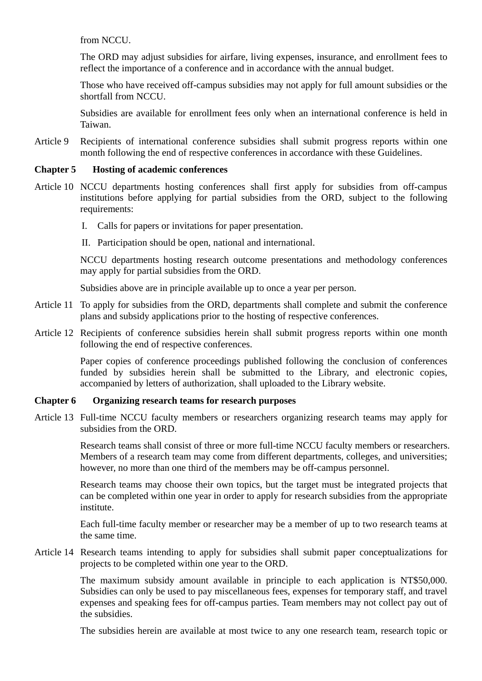from NCCU.

The ORD may adjust subsidies for airfare, living expenses, insurance, and enrollment fees to reflect the importance of a conference and in accordance with the annual budget.

Those who have received off-campus subsidies may not apply for full amount subsidies or the shortfall from NCCU.

Subsidies are available for enrollment fees only when an international conference is held in Taiwan.

Article 9 Recipients of international conference subsidies shall submit progress reports within one month following the end of respective conferences in accordance with these Guidelines.

#### **Chapter 5 Hosting of academic conferences**

- Article 10 NCCU departments hosting conferences shall first apply for subsidies from off-campus institutions before applying for partial subsidies from the ORD, subject to the following requirements:
	- I. Calls for papers or invitations for paper presentation.
	- II. Participation should be open, national and international.

NCCU departments hosting research outcome presentations and methodology conferences may apply for partial subsidies from the ORD.

Subsidies above are in principle available up to once a year per person.

- Article 11 To apply for subsidies from the ORD, departments shall complete and submit the conference plans and subsidy applications prior to the hosting of respective conferences.
- Article 12 Recipients of conference subsidies herein shall submit progress reports within one month following the end of respective conferences.

Paper copies of conference proceedings published following the conclusion of conferences funded by subsidies herein shall be submitted to the Library, and electronic copies, accompanied by letters of authorization, shall uploaded to the Library website.

#### **Chapter 6 Organizing research teams for research purposes**

Article 13 Full-time NCCU faculty members or researchers organizing research teams may apply for subsidies from the ORD.

> Research teams shall consist of three or more full-time NCCU faculty members or researchers. Members of a research team may come from different departments, colleges, and universities; however, no more than one third of the members may be off-campus personnel.

> Research teams may choose their own topics, but the target must be integrated projects that can be completed within one year in order to apply for research subsidies from the appropriate institute.

> Each full-time faculty member or researcher may be a member of up to two research teams at the same time.

Article 14 Research teams intending to apply for subsidies shall submit paper conceptualizations for projects to be completed within one year to the ORD.

> The maximum subsidy amount available in principle to each application is NT\$50,000. Subsidies can only be used to pay miscellaneous fees, expenses for temporary staff, and travel expenses and speaking fees for off-campus parties. Team members may not collect pay out of the subsidies.

> The subsidies herein are available at most twice to any one research team, research topic or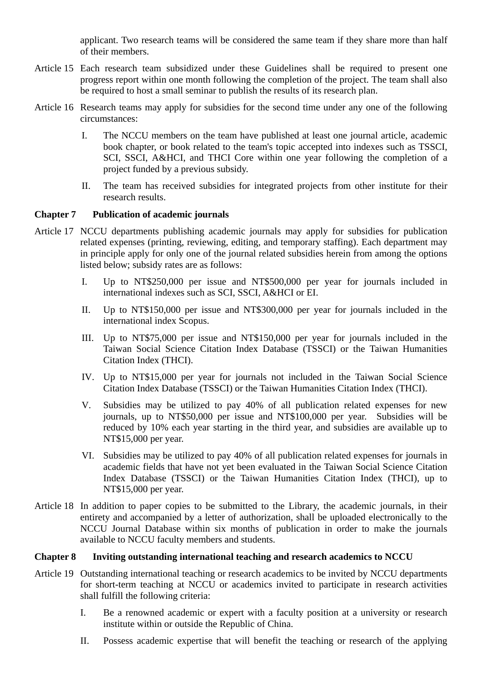applicant. Two research teams will be considered the same team if they share more than half of their members.

- Article 15 Each research team subsidized under these Guidelines shall be required to present one progress report within one month following the completion of the project. The team shall also be required to host a small seminar to publish the results of its research plan.
- Article 16 Research teams may apply for subsidies for the second time under any one of the following circumstances:
	- I. The NCCU members on the team have published at least one journal article, academic book chapter, or book related to the team's topic accepted into indexes such as TSSCI, SCI, SSCI, A&HCI, and THCI Core within one year following the completion of a project funded by a previous subsidy.
	- II. The team has received subsidies for integrated projects from other institute for their research results.

#### **Chapter 7 Publication of academic journals**

- Article 17 NCCU departments publishing academic journals may apply for subsidies for publication related expenses (printing, reviewing, editing, and temporary staffing). Each department may in principle apply for only one of the journal related subsidies herein from among the options listed below; subsidy rates are as follows:
	- I. Up to NT\$250,000 per issue and NT\$500,000 per year for journals included in international indexes such as SCI, SSCI, A&HCI or EI.
	- II. Up to NT\$150,000 per issue and NT\$300,000 per year for journals included in the international index Scopus.
	- III. Up to NT\$75,000 per issue and NT\$150,000 per year for journals included in the Taiwan Social Science Citation Index Database (TSSCI) or the Taiwan Humanities Citation Index (THCI).
	- IV. Up to NT\$15,000 per year for journals not included in the Taiwan Social Science Citation Index Database (TSSCI) or the Taiwan Humanities Citation Index (THCI).
	- V. Subsidies may be utilized to pay 40% of all publication related expenses for new journals, up to NT\$50,000 per issue and NT\$100,000 per year. Subsidies will be reduced by 10% each year starting in the third year, and subsidies are available up to NT\$15,000 per year.
	- VI. Subsidies may be utilized to pay 40% of all publication related expenses for journals in academic fields that have not yet been evaluated in the Taiwan Social Science Citation Index Database (TSSCI) or the Taiwan Humanities Citation Index (THCI), up to NT\$15,000 per year.
- Article 18 In addition to paper copies to be submitted to the Library, the academic journals, in their entirety and accompanied by a letter of authorization, shall be uploaded electronically to the NCCU Journal Database within six months of publication in order to make the journals available to NCCU faculty members and students.

#### **Chapter 8 Inviting outstanding international teaching and research academics to NCCU**

- Article 19 Outstanding international teaching or research academics to be invited by NCCU departments for short-term teaching at NCCU or academics invited to participate in research activities shall fulfill the following criteria:
	- I. Be a renowned academic or expert with a faculty position at a university or research institute within or outside the Republic of China.
	- II. Possess academic expertise that will benefit the teaching or research of the applying